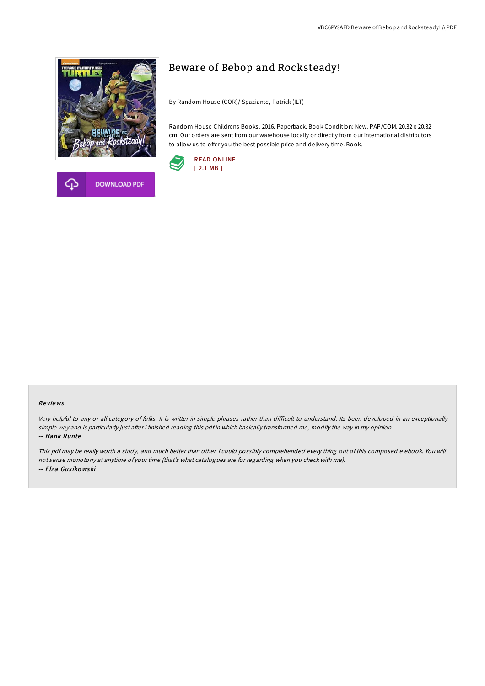



## Beware of Bebop and Rocksteady!

By Random House (COR)/ Spaziante, Patrick (ILT)

Random House Childrens Books, 2016. Paperback. Book Condition: New. PAP/COM. 20.32 x 20.32 cm. Our orders are sent from our warehouse locally or directly from our international distributors to allow us to offer you the best possible price and delivery time. Book.



## Re views

Very helpful to any or all category of folks. It is writter in simple phrases rather than difficult to understand. Its been developed in an exceptionally simple way and is particularly just after i finished reading this pdf in which basically transformed me, modify the way in my opinion. -- Hank Runte

This pdf may be really worth <sup>a</sup> study, and much better than other. <sup>I</sup> could possibly comprehended every thing out of this composed <sup>e</sup> ebook. You will not sense monotony at anytime of your time (that's what catalogues are for regarding when you check with me). -- Elza Gus iko wski